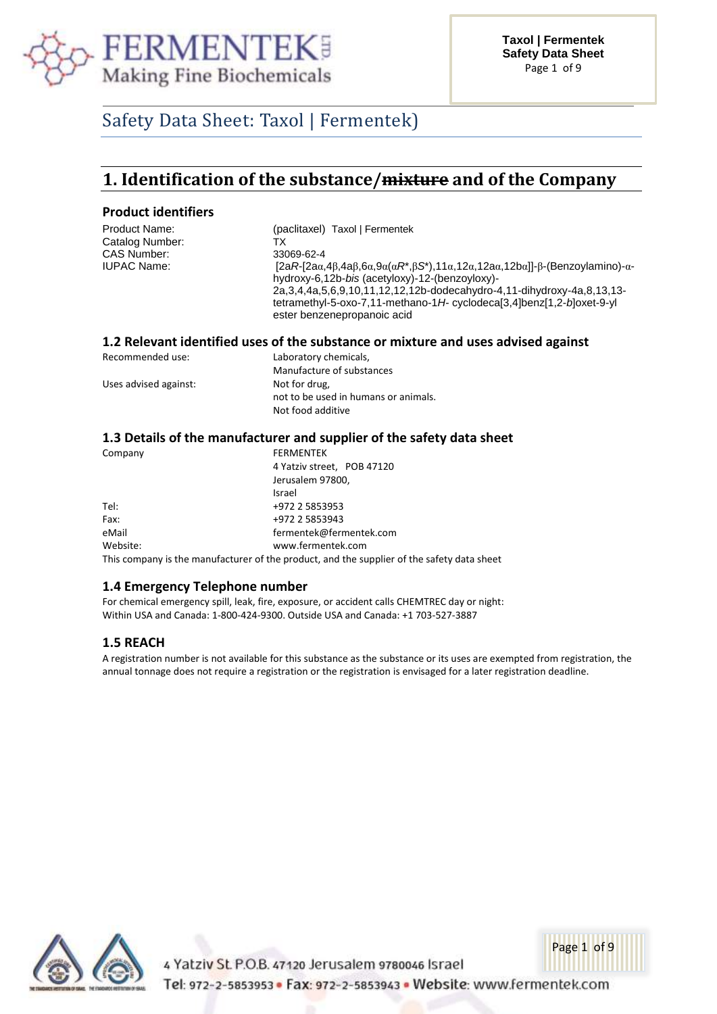

# Safety Data Sheet: Taxol | Fermentek)

# **1. Identification of the substance/mixture and of the Company**

### **Product identifiers**

| Product Name:   | (paclitaxel) Taxol   Fermentek                                                                                                                                                                                                                                                                                                                                   |
|-----------------|------------------------------------------------------------------------------------------------------------------------------------------------------------------------------------------------------------------------------------------------------------------------------------------------------------------------------------------------------------------|
| Catalog Number: | тх                                                                                                                                                                                                                                                                                                                                                               |
| CAS Number:     | 33069-62-4                                                                                                                                                                                                                                                                                                                                                       |
| IUPAC Name:     | $[2aR-[2a\alpha,4\beta,4a\beta,6\alpha,9\alpha(\alpha R^*,\beta S^*)$ ,11α,12α,12aα,12bα]]-β-(Benzoylamino)-α-<br>hydroxy-6,12b-bis (acetyloxy)-12-(benzoyloxy)-<br>2a, 3, 4, 4a, 5, 6, 9, 10, 11, 12, 12, 12b-dodecahydro-4, 11-dihydroxy-4a, 8, 13, 13-<br>tetramethyl-5-oxo-7,11-methano-1H-cyclodeca[3,4]benz[1,2-b]oxet-9-yl<br>ester benzenepropanoic acid |
|                 |                                                                                                                                                                                                                                                                                                                                                                  |

### **1.2 Relevant identified uses of the substance or mixture and uses advised against**

| Recommended use:      | Laboratory chemicals,                |  |
|-----------------------|--------------------------------------|--|
|                       | Manufacture of substances            |  |
| Uses advised against: | Not for drug,                        |  |
|                       | not to be used in humans or animals. |  |
|                       | Not food additive                    |  |

### **1.3 Details of the manufacturer and supplier of the safety data sheet**

| Company  | <b>FERMENTEK</b>                                                                           |
|----------|--------------------------------------------------------------------------------------------|
|          | 4 Yatziv street, POB 47120                                                                 |
|          | Jerusalem 97800,                                                                           |
|          | Israel                                                                                     |
| Tel:     | +972 2 5853953                                                                             |
| Fax:     | +972 2 5853943                                                                             |
| eMail    | fermentek@fermentek.com                                                                    |
| Website: | www.fermentek.com                                                                          |
|          | This company is the manufacturer of the product, and the supplier of the safety data sheet |

### **1.4 Emergency Telephone number**

For chemical emergency spill, leak, fire, exposure, or accident calls CHEMTREC day or night: Within USA and Canada: 1-800-424-9300. Outside USA and Canada: +1 703-527-3887

### **1.5 REACH**

A registration number is not available for this substance as the substance or its uses are exempted from registration, the annual tonnage does not require a registration or the registration is envisaged for a later registration deadline.



4 Yatziv St. P.O.B. 47120 Jerusalem 9780046 Israel Tel: 972-2-5853953 · Fax: 972-2-5853943 · Website: www.fermentek.com

Page 1 of 9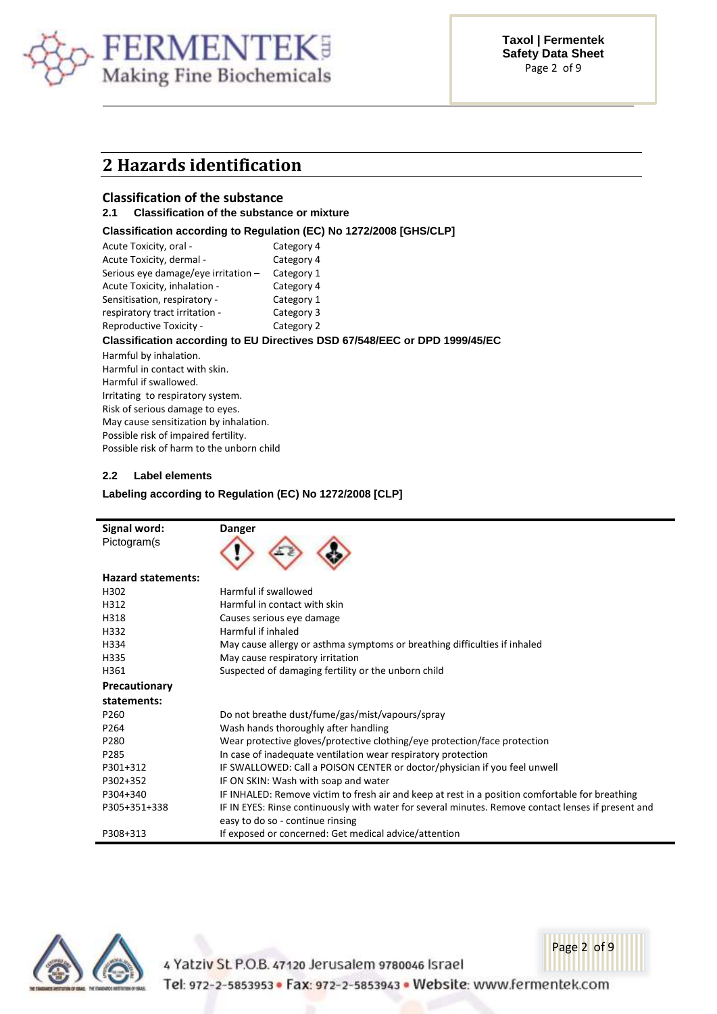

### **2 Hazards identification**

### **Classification of the substance**

### **2.1 Classification of the substance or mixture**

### **Classification according to Regulation (EC) No 1272/2008 [GHS/CLP]**

| Acute Toxicity, oral -                    | Category 4                                                                 |
|-------------------------------------------|----------------------------------------------------------------------------|
| Acute Toxicity, dermal -                  | Category 4                                                                 |
| Serious eye damage/eye irritation $-$     | Category 1                                                                 |
| Acute Toxicity, inhalation -              | Category 4                                                                 |
| Sensitisation, respiratory -              | Category 1                                                                 |
| respiratory tract irritation -            | Category 3                                                                 |
| Reproductive Toxicity -                   | Category 2                                                                 |
|                                           | Classification according to EU Directives DSD 67/548/EEC or DPD 1999/45/EC |
| Harmful by inhalation.                    |                                                                            |
| Harmful in contact with skin.             |                                                                            |
| Harmful if swallowed.                     |                                                                            |
| Irritating to respiratory system.         |                                                                            |
| Risk of serious damage to eyes.           |                                                                            |
| May cause sensitization by inhalation.    |                                                                            |
| Possible risk of impaired fertility.      |                                                                            |
| Possible risk of harm to the unborn child |                                                                            |
|                                           |                                                                            |

### **2.2 Label elements**

### **Labeling according to Regulation (EC) No 1272/2008 [CLP]**

| Signal word:              | <b>Danger</b>                                                                                       |
|---------------------------|-----------------------------------------------------------------------------------------------------|
| Pictogram(s               |                                                                                                     |
| <b>Hazard statements:</b> |                                                                                                     |
| H302                      | Harmful if swallowed                                                                                |
| H312                      | Harmful in contact with skin                                                                        |
| H318                      | Causes serious eye damage                                                                           |
| H332                      | Harmful if inhaled                                                                                  |
| H334                      | May cause allergy or asthma symptoms or breathing difficulties if inhaled                           |
| H335                      | May cause respiratory irritation                                                                    |
| H361                      | Suspected of damaging fertility or the unborn child                                                 |
| Precautionary             |                                                                                                     |
| statements:               |                                                                                                     |
| P260                      | Do not breathe dust/fume/gas/mist/vapours/spray                                                     |
| P264                      | Wash hands thoroughly after handling                                                                |
| P280                      | Wear protective gloves/protective clothing/eye protection/face protection                           |
| P285                      | In case of inadequate ventilation wear respiratory protection                                       |
| P301+312                  | IF SWALLOWED: Call a POISON CENTER or doctor/physician if you feel unwell                           |
| P302+352                  | IF ON SKIN: Wash with soap and water                                                                |
| P304+340                  | IF INHALED: Remove victim to fresh air and keep at rest in a position comfortable for breathing     |
| P305+351+338              | IF IN EYES: Rinse continuously with water for several minutes. Remove contact lenses if present and |
|                           | easy to do so - continue rinsing                                                                    |
| P308+313                  | If exposed or concerned: Get medical advice/attention                                               |



4 Yatziv St. P.O.B. 47120 Jerusalem 9780046 Israel

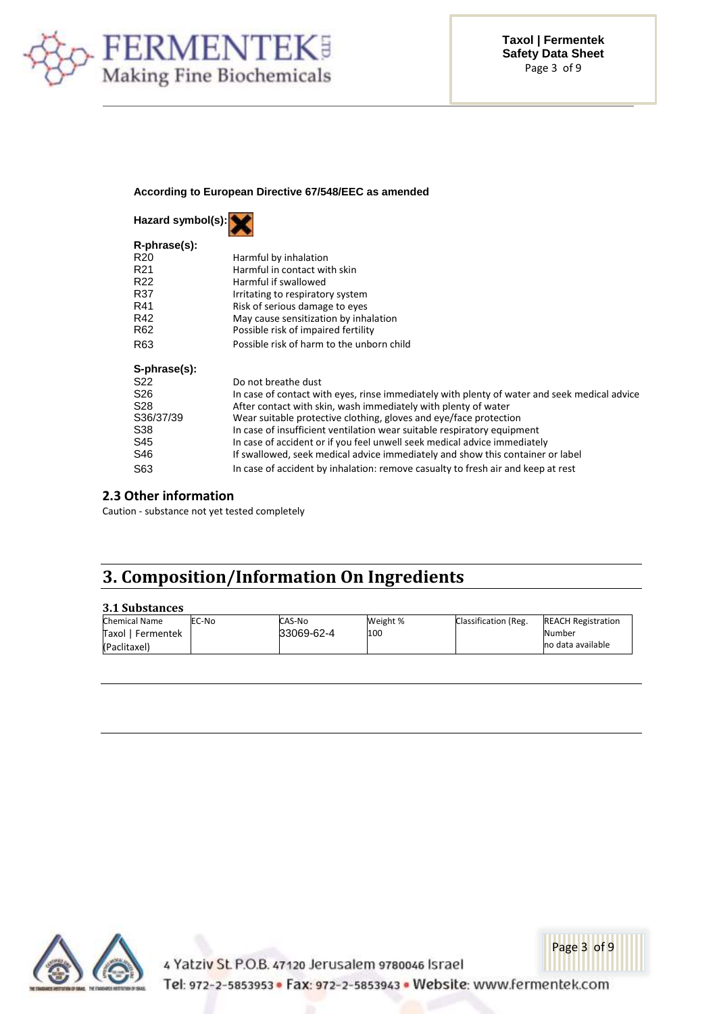

#### **According to European Directive 67/548/EEC as amended**

| Hazard symbol(s): |                                                                                              |  |  |
|-------------------|----------------------------------------------------------------------------------------------|--|--|
| R-phrase(s):      |                                                                                              |  |  |
| R <sub>20</sub>   | Harmful by inhalation                                                                        |  |  |
| R <sub>21</sub>   | Harmful in contact with skin                                                                 |  |  |
| R <sub>22</sub>   | Harmful if swallowed                                                                         |  |  |
| R37               | Irritating to respiratory system                                                             |  |  |
| R41               | Risk of serious damage to eyes                                                               |  |  |
| R42               | May cause sensitization by inhalation                                                        |  |  |
| R <sub>62</sub>   | Possible risk of impaired fertility                                                          |  |  |
| R <sub>63</sub>   | Possible risk of harm to the unborn child                                                    |  |  |
| S-phrase(s):      |                                                                                              |  |  |
| S22               | Do not breathe dust                                                                          |  |  |
| S <sub>26</sub>   | In case of contact with eyes, rinse immediately with plenty of water and seek medical advice |  |  |
| S28               | After contact with skin, wash immediately with plenty of water                               |  |  |
| S36/37/39         | Wear suitable protective clothing, gloves and eye/face protection                            |  |  |
| S38               | In case of insufficient ventilation wear suitable respiratory equipment                      |  |  |
| S45               | In case of accident or if you feel unwell seek medical advice immediately                    |  |  |
| S46               | If swallowed, seek medical advice immediately and show this container or label               |  |  |
| S63               | In case of accident by inhalation: remove casualty to fresh air and keep at rest             |  |  |

### **2.3 Other information**

Caution - substance not yet tested completely

# **3. Composition/Information On Ingredients**

### **3.1 Substances**

| Chemical Name     | EC-No | CAS-No     | Weight % | Classification (Reg. | <b>REACH Registration</b> |
|-------------------|-------|------------|----------|----------------------|---------------------------|
| Taxol   Fermentek |       | 33069-62-4 | 100      |                      | Number                    |
| (Paclitaxel)      |       |            |          |                      | no data available         |



4 Yatziv St. P.O.B. 47120 Jerusalem 9780046 Israel Tel: 972-2-5853953 · Fax: 972-2-5853943 · Website: www.fermentek.com

Page 3 of 9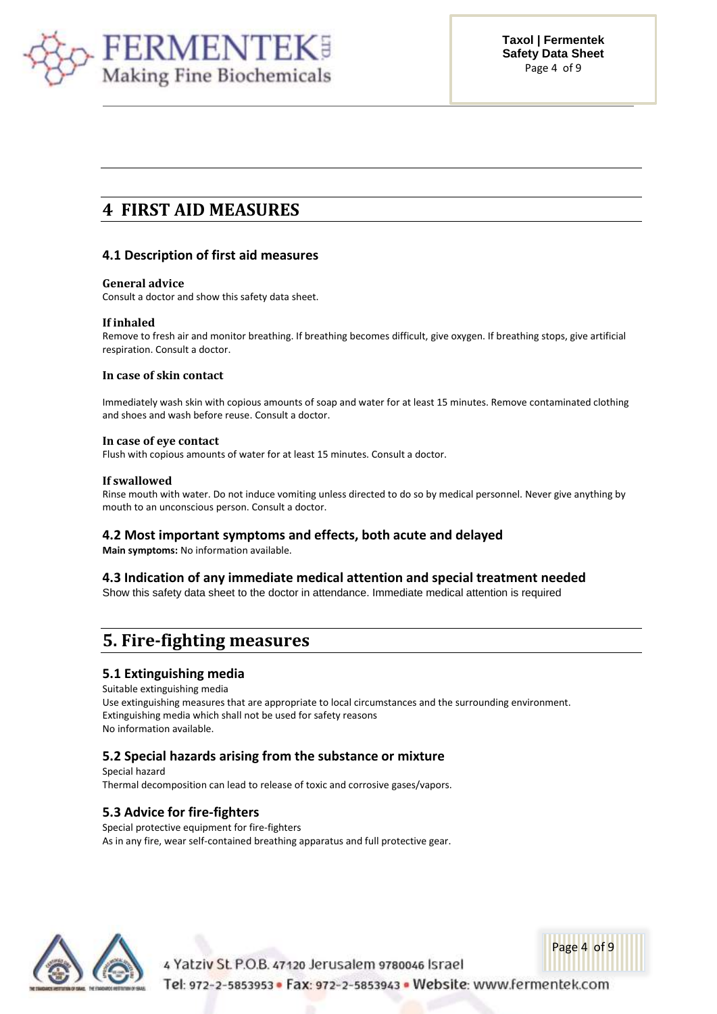

# **4 FIRST AID MEASURES**

### **4.1 Description of first aid measures**

### **General advice**

Consult a doctor and show this safety data sheet.

### **If inhaled**

Remove to fresh air and monitor breathing. If breathing becomes difficult, give oxygen. If breathing stops, give artificial respiration. Consult a doctor.

### **In case of skin contact**

Immediately wash skin with copious amounts of soap and water for at least 15 minutes. Remove contaminated clothing and shoes and wash before reuse. Consult a doctor.

### **In case of eye contact**

Flush with copious amounts of water for at least 15 minutes. Consult a doctor.

### **If swallowed**

Rinse mouth with water. Do not induce vomiting unless directed to do so by medical personnel. Never give anything by mouth to an unconscious person. Consult a doctor.

### **4.2 Most important symptoms and effects, both acute and delayed**

**Main symptoms:** No information available.

### **4.3 Indication of any immediate medical attention and special treatment needed**

Show this safety data sheet to the doctor in attendance. Immediate medical attention is required

# **5. Fire-fighting measures**

### **5.1 Extinguishing media**

Suitable extinguishing media Use extinguishing measures that are appropriate to local circumstances and the surrounding environment. Extinguishing media which shall not be used for safety reasons No information available.

# **5.2 Special hazards arising from the substance or mixture**

Special hazard Thermal decomposition can lead to release of toxic and corrosive gases/vapors.

### **5.3 Advice for fire-fighters**

Special protective equipment for fire-fighters As in any fire, wear self-contained breathing apparatus and full protective gear.



4 Yatziv St. P.O.B. 47120 Jerusalem 9780046 Israel

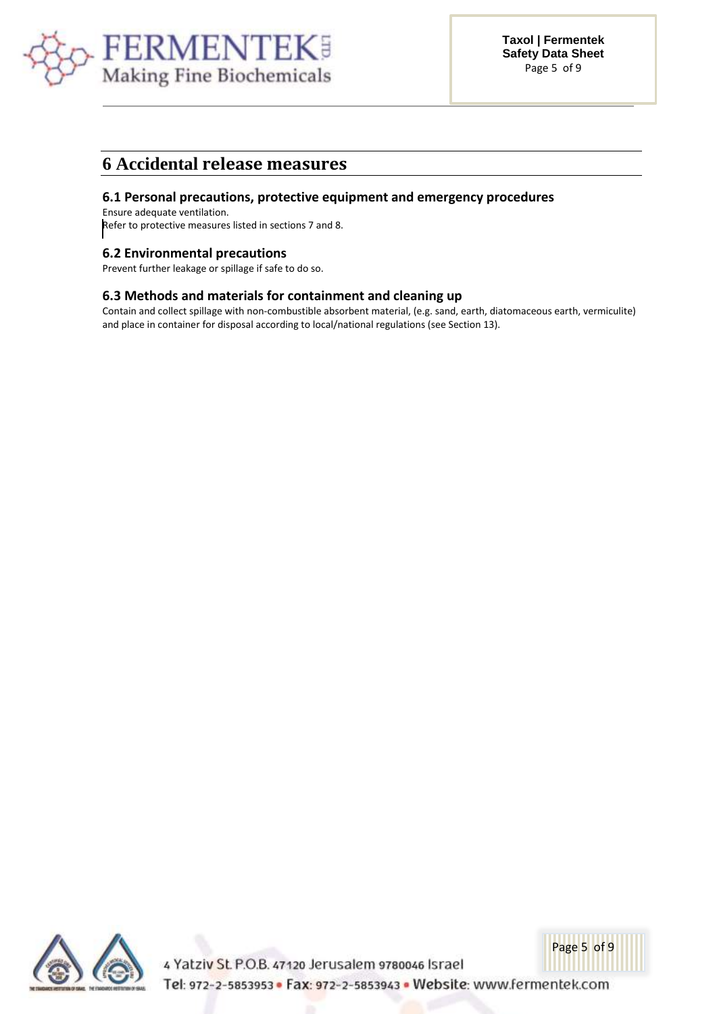

### **6 Accidental release measures**

### **6.1 Personal precautions, protective equipment and emergency procedures**

Ensure adequate ventilation. Refer to protective measures listed in sections 7 and 8.

### **6.2 Environmental precautions**

Prevent further leakage or spillage if safe to do so.

### **6.3 Methods and materials for containment and cleaning up**

Contain and collect spillage with non-combustible absorbent material, (e.g. sand, earth, diatomaceous earth, vermiculite) and place in container for disposal according to local/national regulations (see Section 13).



4 Yatziv St. P.O.B. 47120 Jerusalem 9780046 Israel Tel: 972-2-5853953 · Fax: 972-2-5853943 · Website: www.fermentek.com

Page 5 of 9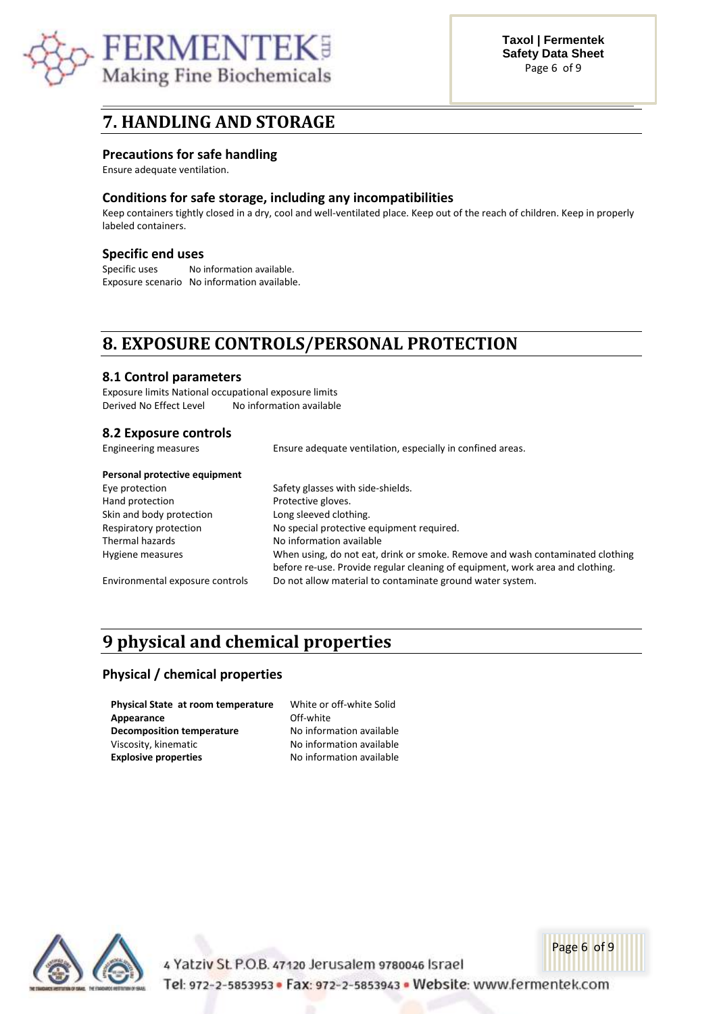

### **7. HANDLING AND STORAGE**

### **Precautions for safe handling**

Ensure adequate ventilation.

### **Conditions for safe storage, including any incompatibilities**

Keep containers tightly closed in a dry, cool and well-ventilated place. Keep out of the reach of children. Keep in properly labeled containers.

### **Specific end uses**

Specific uses Mo information available. Exposure scenario No information available.

# **8. EXPOSURE CONTROLS/PERSONAL PROTECTION**

### **8.1 Control parameters**

Exposure limits National occupational exposure limits Derived No Effect Level No information available

### **8.2 Exposure controls**

| Engineering measures            | Ensure adequate ventilation, especially in confined areas.                                                                                                     |  |
|---------------------------------|----------------------------------------------------------------------------------------------------------------------------------------------------------------|--|
| Personal protective equipment   |                                                                                                                                                                |  |
| Eye protection                  | Safety glasses with side-shields.                                                                                                                              |  |
| Hand protection                 | Protective gloves.                                                                                                                                             |  |
| Skin and body protection        | Long sleeved clothing.                                                                                                                                         |  |
| Respiratory protection          | No special protective equipment required.                                                                                                                      |  |
| Thermal hazards                 | No information available                                                                                                                                       |  |
| Hygiene measures                | When using, do not eat, drink or smoke. Remove and wash contaminated clothing<br>before re-use. Provide regular cleaning of equipment, work area and clothing. |  |
| Environmental exposure controls | Do not allow material to contaminate ground water system.                                                                                                      |  |

available available available

# **9 physical and chemical properties**

### **Physical / chemical properties**

| Physical State at room temperature | White or off-white Solid |
|------------------------------------|--------------------------|
| Appearance                         | Off-white                |
| <b>Decomposition temperature</b>   | No information available |
| Viscosity, kinematic               | No information available |
| <b>Explosive properties</b>        | No information available |
|                                    |                          |



4 Yatziv St. P.O.B. 47120 Jerusalem 9780046 Israel

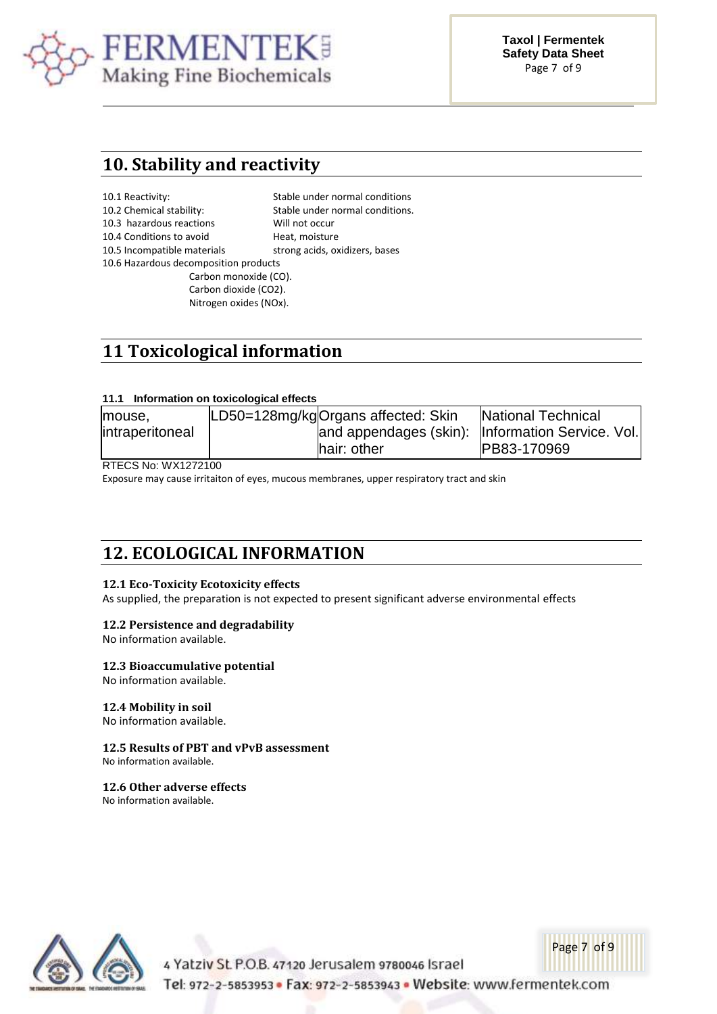

**Taxol | Fermentek Safety Data Sheet** Page 7 of 9

### **10. Stability and reactivity**

| 10.1 Reactivity:                      | Stable under normal conditions  |  |  |
|---------------------------------------|---------------------------------|--|--|
| 10.2 Chemical stability:              | Stable under normal conditions. |  |  |
| 10.3 hazardous reactions              | Will not occur                  |  |  |
| 10.4 Conditions to avoid              | Heat, moisture                  |  |  |
| 10.5 Incompatible materials           | strong acids, oxidizers, bases  |  |  |
| 10.6 Hazardous decomposition products |                                 |  |  |
| Carbon monoxide (CO).                 |                                 |  |  |
| Carbon dioxide (CO2).                 |                                 |  |  |
| Nitrogen oxides (NOx).                |                                 |  |  |

# **11 Toxicological information**

### **11.1 Information on toxicological effects**

| lmouse.         | LD50=128mg/kgOrgans affected: Skin                | <b>National Technical</b> |
|-----------------|---------------------------------------------------|---------------------------|
| intraperitoneal | and appendages (skin):  Information Service. Vol. |                           |
|                 | hair: other                                       | PB83-170969               |

RTECS No: WX1272100

Exposure may cause irritaiton of eyes, mucous membranes, upper respiratory tract and skin

### **12. ECOLOGICAL INFORMATION**

### **12.1 Eco-Toxicity Ecotoxicity effects**

As supplied, the preparation is not expected to present significant adverse environmental effects

### **12.2 Persistence and degradability**

No information available.

### **12.3 Bioaccumulative potential**

No information available.

### **12.4 Mobility in soil**

No information available.

### **12.5 Results of PBT and vPvB assessment**

No information available.

### **12.6 Other adverse effects**

No information available.



4 Yatziv St. P.O.B. 47120 Jerusalem 9780046 Israel

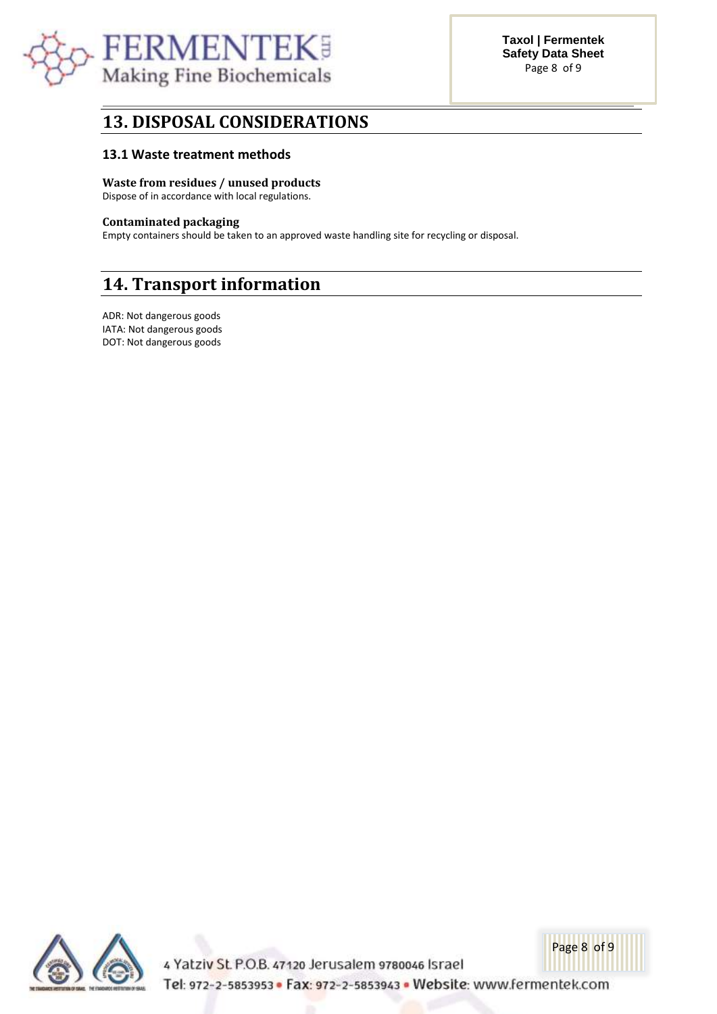

### **13. DISPOSAL CONSIDERATIONS**

### **13.1 Waste treatment methods**

### **Waste from residues / unused products**

Dispose of in accordance with local regulations.

### **Contaminated packaging**

Empty containers should be taken to an approved waste handling site for recycling or disposal.

# **14. Transport information**

ADR: Not dangerous goods IATA: Not dangerous goods DOT: Not dangerous goods



4 Yatziv St. P.O.B. 47120 Jerusalem 9780046 Israel Tel: 972-2-5853953 · Fax: 972-2-5853943 · Website: www.fermentek.com

Page 8 of 9